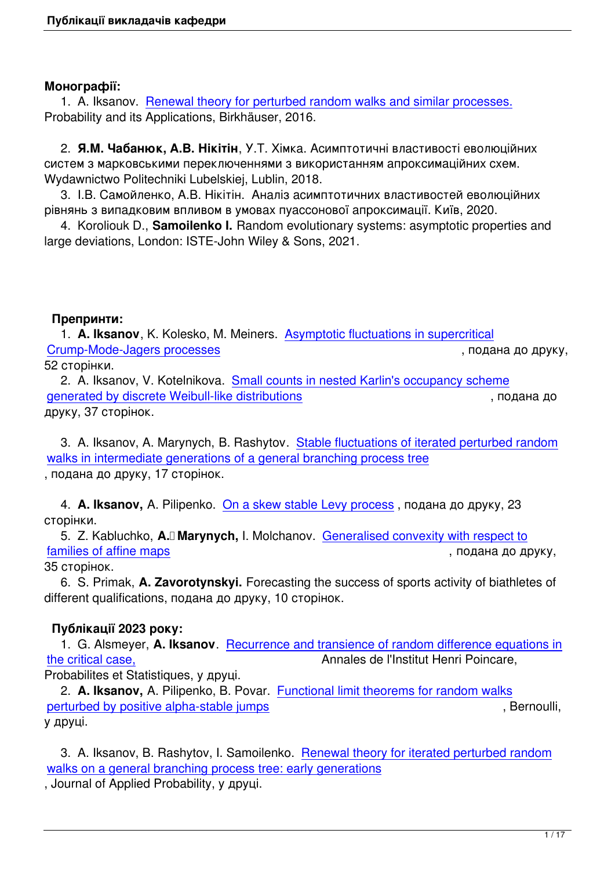#### **Монографії:**

1. A. Iksanov. Renewal theory for perturbed random walks and similar processes. Probability and its Applications, Birkhäuser, 2016.

 2. **Я.М. Чабанюк, А.В. Нікітін**[, У.Т. Хімка. Асимптотичні властивості еволюцій](http://link.springer.com/book/10.1007/978-3-319-49113-4)них систем з марковськими переключеннями з використанням апроксимаційних схем. Wydawnictwo Politechniki Lubelskiej, Lublin, 2018.

 3. І.В. Самойленко, А.В. Нікітін. Аналіз асимптотичних властивостей еволюційних рівнянь з випадковим впливом в умовах пуассонової апроксимації. Київ, 2020.

 4. Koroliouk D., **Samoilenko I.** Random evolutionary systems: asymptotic properties and large deviations, London: ISTE-John Wiley & Sons, 2021.

#### **Препринти:**

 1. **A. Iksanov**, K. Kolesko, M. Meiners. Asymptotic fluctuations in supercritical Crump-Mode-Jagers processes **Crump-Mode-Jagers processes** , подана до друку, 52 сторінки.

 2. A. Iksanov, V. Kotelnikova. Small co[unts in nested Karlin](iksan/publications/IksKolMei020921_subm.pdf)'[s occupancy schem](iksan/publications/IksKolMei020921_subm.pdf)e [generated by discrete Weibull-lik](iksan/publications/IksKolMei020921_subm.pdf)e distributions and a control of the state of the parameters of the state of the state and the state of the state of the state of the state of the state of the state of the state of the st друку, 37 сторінок.

 [3. A. Iksanov, A. Marynych, B. Rashytov.](https://arxiv.org/pdf/2203.08918.pdf)  [Stable fluctuations of iterated perturbed](https://arxiv.org/pdf/2203.08918.pdf) random walks in intermediate generations of a general branching process tree , подана до друку, 17 сторінок.

 4. **A. Iksanov,** [A. Pilipenko. On a skew stable Levy process](images/publications/iksmarrash011121.pdf) [, подана до друку, 23](images/publications/iksmarrash011121.pdf) сторінки.

 5. Z. Kabluchko, **A. Marynych,** I. Molchanov. Generalised convexity with respect to families of affine maps  $\blacksquare$  , подана до друку,

35 сторінок.

 6. S. Primak, **A. Zavorotynskyi.** Forecasting t[he success of sports activity of biathlet](marynych/wp-content/uploads/2022/02/KabMarMol.pdf)es of [different qualifications,](marynych/wp-content/uploads/2022/02/KabMarMol.pdf) подана до друку, 10 сторінок.

# **Публікації 2023 року:**

 1. G. Alsmeyer, **A. Iksanov**. Recurrence and transience of random difference equations in the critical case,  $\blacksquare$  Annales de l'Institut Henri Poincare, Probabilites et Statistiques, у друці.

 2. **A. Iksanov,** A. Pilipenko, B. Povar. [Functional limit theorems for random walks](iksan/publications/AlsIks110521_submitted.pdf) [perturbed by pos](iksan/publications/AlsIks110521_submitted.pdf)itive alpha-stable jumps and the state of the state of the state of the state of the state of the state of the state of the state of the state of the state of the state of the state of the state of the stat у друці.

3. A. Iksanov, B. Rashytov, I. Samoilenko. [Renewal theory for iterated perturbed r](iksan/publications/BEJ1515final.pdf)andom walks on a general branching process tree: early generations

, Journal of Applied Probability, у друці.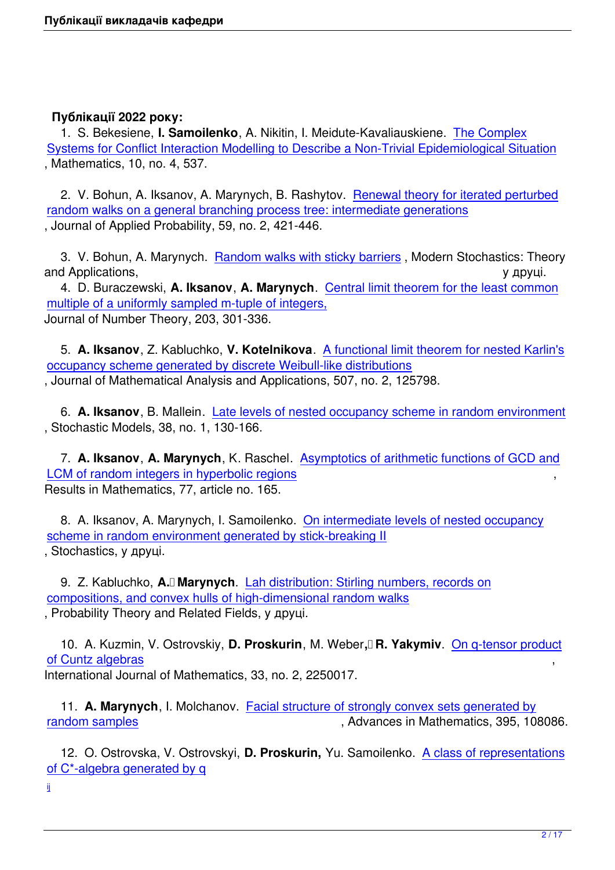#### **Публікації 2022 року:**

 1. S. Bekesiene, **I. Samoilenko**, A. Nikitin, I. Meidute-Kavaliauskiene. The Complex Systems for Conflict Interaction Modelling to Describe a Non-Trivial Epidemiological Situation , Mathematics, 10, no. 4, 537.

 [2. V. Bohun, A. Iksanov, A. Marynych, B. Rashytov.](https://www.mdpi.com/2227-7390/10/4/537)  Renewal theory fo[r iterated pertu](https://www.mdpi.com/2227-7390/10/4/537)rbed random walks on a general branching process tree: intermediate generations , Journal of Applied Probability, 59, no. 2, 421-446.

3. V. Bohun, A. Marynych. [Random walks with sticky barriers](iksan/publications/BogIksMarRash_final_AP.pdf)[, Modern Stochastics: Theor](iksan/publications/BogIksMarRash_final_AP.pdf)y and Applications,  $\alpha$  and Applications,  $\alpha$  and  $\alpha$  and  $\alpha$  and  $\alpha$  and  $\alpha$  and  $\alpha$  and  $\alpha$  and  $\alpha$  and  $\alpha$  and  $\alpha$  and  $\alpha$  and  $\alpha$  and  $\alpha$  and  $\alpha$  and  $\alpha$  and  $\alpha$  and  $\alpha$  and  $\alpha$  and  $\alpha$  and  $\alpha$  and

 4. D. Buraczewski, **A. Iksanov**, **A. Marynych**. Central limit theorem for the least common multiple of a uniformly sample[d m-tuple of integers,](marynych/wp-content/uploads/2022/02/BohMar19022022.pdf) Journal of Number Theory, 203, 301-336.

 5. **A. Iksanov**[, Z. Kabluchko,](marynych/wp-content/uploads/2021/07/BurIksMar220521new.pdf) **V. Kotelnikova**. [A functional limit theorem for nested Karlin's](marynych/wp-content/uploads/2021/07/BurIksMar220521new.pdf) occupancy scheme generated by discrete Weibull-like distributions , Journal of Mathematical Analysis and Applications, 507, no. 2, 125798.

 6. **A. Iksanov**[, B. Mallein. Late levels of nested occupancy scheme in random environment](https://www.sciencedirect.com/science/article/abs/pii/S0022247X21008775) , Stochastic Models, 38, no. 1, 130-166.

 7. **A. Iksanov**, **A. Marynych**, K. Raschel. [Asymptotics of arithmetic functions of GCD and](iksan/publications/IksMal090621subm.pdf) LCM of random integers in hyperbolic regions , Results in Mathematics, 77, article no. 165.

 [8. A. Iksanov, A. Marynych, I. Samoilenko.](marynych/wp-content/uploads/2022/04/IksMarRas-22rev.pdf) [On intermediate levels of nested occupancy](marynych/wp-content/uploads/2022/04/IksMarRas-22rev.pdf) scheme in random environment generated by stick-breaking II , Stochastics, у друці.

9. Z. Kabluchko, A.<sup>n</sup> Marynych. [Lah distribution: Stirling numbers, records on](marynych/wp-content/uploads/2021/12/IksMarSam101221rev.pdf) compositions, and convex hulls of high-dimensional random walks , Probability Theory and Related Fields, у друці.

10. A. Kuzmin, V. Ostrovskiy, **D. Proskurin**, M. Weber, R. Yakymiy. On q-tensor product of Cuntz algebras , International Journal of Mathematics, 33, no. 2, 2250017.

 11. **[A. Maryny](https://arxiv.org/pdf/2112.06690.pdf)ch**, I. Molchanov. Facial structure of strongly convex se[ts generated by](https://arxiv.org/pdf/2112.06690.pdf) random samples and the state of the state of the Advances in Mathematics, 395, 108086.

 12. O. Ostrovska, V. Ostrovskyi, **D. Proskurin,** Yu. Samoilenko. [A class of representa](marynych/wp-content/uploads/2021/10/K-ball_final-colours.pdf)tions [of C\\*-algebra gen](marynych/wp-content/uploads/2021/10/K-ball_final-colours.pdf)erated by q

ij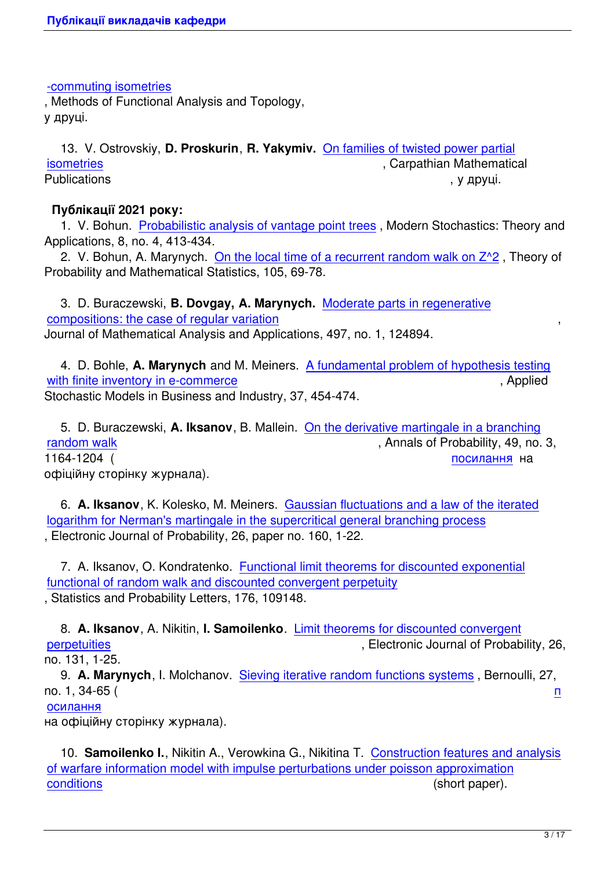-commuting isometries

, Methods of Functional Analysis and Topology, у друці.

 [13. V. Ostrovskiy,](https://arxiv.org/pdf/2111.13059.pdf) **D. Proskurin**, **R. Yakymiv.** On families of twisted power partial isometries **isometries** , Carpathian Mathematical Publications , у друці.

#### **[Публікац](images/publications/tw_parisom_rev.pdf)ії 2021 року:**

 1. V. Bohun. Probabilistic analysis of vantage point trees , Modern Stochastics: Theory and Applications, 8, no. 4, 413-434.

2. V. Bohun, A. Marynych. On the local time of a recurrent random walk on  $Z^2$ . Theory of Probability and [Mathematical Statistics, 105, 69-78.](https://doi.org/10.15559/21-VMSTA188)

 3. D. Buraczewski, **B. Dovgay, A. Marynych.** [Moderate parts in regenerative](marynych/wp-content/uploads/2021/08/BohunMarynych2021.pdf) compositions: the case of regular variation , Journal of Mathematical Analysis and Applications, 497, no. 1, 124894.

 [4. D. Bohle,](marynych/wp-content/uploads/2020/12/BurDovMar2020.pdf) **A. Marynych** and M. Meiners. A f[undamental problem of hypothe](marynych/wp-content/uploads/2020/12/BurDovMar2020.pdf)sis testing with finite inventory in e-commerce **and the set of the set of the set of the set of the set of the set of the set of the set of the set of the set of the set of the set of the set of the set of the set of the set of the s** Stochastic Models in Business and Industry, 37, 454-474.

 [5. D. Buraczewski,](marynych/wp-content/uploads/2020/09/BohMarMei2020.pdf) **A. Iksanov**, B. Mallein. [On the derivative martingale in a branching](marynych/wp-content/uploads/2020/09/BohMarMei2020.pdf) random walk  $\blacksquare$  , Annals of Probability, 49, no. 3, 1164-1204 (Великовский активностранный посилання на офіційну сторінку журнала).

 6. **[A. Iksa](iksan/publications/AP2021_BurIksMal.pdf)nov**, K. Kolesko, M. Meiners. Gaussian fluctuations and a la[w of the iter](http://dx.doi.org/10.1214/20-AOP1474)ated logarithm for Nerman's martingale in the supercritical general branching process , Electronic Journal of Probability, 26, paper no. 160, 1-22.

 7. A. Iksanov, O. Kondratenko. [Functional limit theorems for discounted exponential](https://projecteuclid.org/journals/electronic-journal-of-probability/volume-26/issue-none/Gaussian-fluctuations-and-a-law-of-the-iterated-logarithm-for/10.1214/21-EJP727.full) functional of random walk and discounted convergent perpetuity , Statistics and Probability Letters, 176, 109148.

 8. **A. Iksanov**, A. Nikitin, **I. Samoilenko**. [Limit theorems for discounted convergent](iksan/publications/IksKondr270421accepted.pdf) perpetuities **perpetuities** , Electronic Journal of Probability, 26, no. 131, 1-25.

 9. **A. Marynych**, I. Molchanov. Sieving it[erative random functions systems](https://projecteuclid.org/journals/electronic-journal-of-probability/volume-26/issue-none/Limit-theorems-for-discounted-convergent-perpetuities/10.1214/21-EJP705.full) , Bernoulli, 27, [no. 1, 34-65](https://projecteuclid.org/journals/electronic-journal-of-probability/volume-26/issue-none/Limit-theorems-for-discounted-convergent-perpetuities/10.1214/21-EJP705.full) (  $\overline{p}$ 

#### осилання

на офіційну сторінку журнала).

 [10.](https://projecteuclid.org/journals/bernoulli/volume-27/issue-1/Sieving-random-iterative-function-systems/10.3150/20-BEJ1221.short) **Samoilenko I.**, Nikitin A., Verowkina G., Nikitina T. Construction features and analys[is](https://projecteuclid.org/journals/bernoulli/volume-27/issue-1/Sieving-random-iterative-function-systems/10.3150/20-BEJ1221.short) of warfare information model with impulse perturbations under poisson approximation conditions (short paper).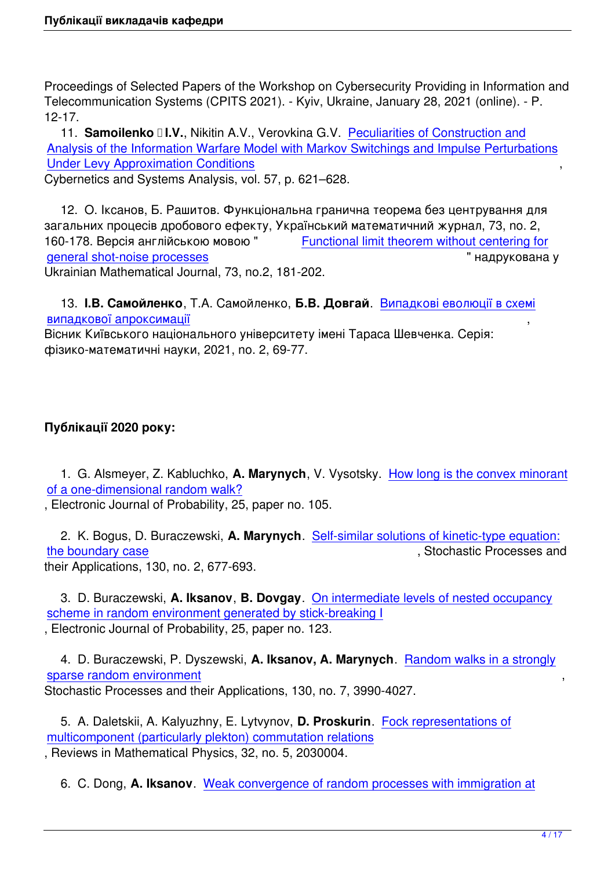Proceedings of Selected Papers of the Workshop on Cybersecurity Providing in Information and Telecommunication Systems (CPITS 2021). - Kyiv, Ukraine, January 28, 2021 (online). - P. 12-17.

11. **Samoilenko II.V., Nikitin A.V., Verovkina G.V. Peculiarities of Construction and** Analysis of the Information Warfare Model with Markov Switchings and Impulse Perturbations Under Levy Approximation Conditions ,

Cybernetics and Systems Analysis, vol. 57, p. 621–628[.](https://link.springer.com/article/10.1007/s10559-021-00387-1)

 [12. О. Іксанов, Б. Рашитов. Функціональна гранична теорема без центрування для](https://link.springer.com/article/10.1007/s10559-021-00387-1) загальних процесів дробового ефекту, Український математичний журнал, 73, no. 2, 160-178. Версія англійською мовою " Functional limit theorem without centering for general shot-noise processes " надрукована у Ukrainian Mathematical Journal, 73, no.2, 181-202.

 13. **[І.В. Самойленко](https://rdcu.be/cyhbU)**, Т.А. Самойленко, **Б.В. Довгай**[. Випадкові еволюції в схемі](https://rdcu.be/cyhbU) випадкової апроксимації ,

Вісник Київського національного університету імені Тараса Шевченка. Серія: фізико-математичні науки, 2021, no. 2, 69-77.

# **Публікації 2020 року:**

 1. G. Alsmeyer, Z. Kabluchko, **A. Marynych**, V. Vysotsky. How long is the convex minorant of a one-dimensional random walk?

, Electronic Journal of Probability, 25, paper no. 105.

 [2. K. Bogus, D. Buraczewski,](https://projecteuclid.org/euclid.ejp/1599271303) **A. Marynych**. Self-similar s[olutions of kinetic-type equation:](https://projecteuclid.org/euclid.ejp/1599271303) the boundary case and the boundary case of the boundary case of the boundary case of the structure of the structure of the structure of the structure of the structure of the structure of the structure of the structure of t their Applications, 130, no. 2, 677-693.

 [3. D. Buraczews](marynych/wp-content/uploads/2019/03/kinetic020319.pdf)ki, **A. Iksanov**, **B. Dovgay**. [On intermediate levels of nested occupancy](marynych/wp-content/uploads/2019/03/kinetic020319.pdf) scheme in random environment generated by stick-breaking I , Electronic Journal of Probability, 25, paper no. 123.

 [4. D. Buraczewski, P. Dyszewski,](https://projecteuclid.org/download/pdfview_1/euclid.ejp/1602122424) **A. Iksanov, A. Marynych**[. Random walks in a strongly](https://projecteuclid.org/download/pdfview_1/euclid.ejp/1602122424) sparse random environment Stochastic Processes and their Applications, 130, no. 7, 3990-4027.

 [5. A. Daletskii, A. Kalyuzh](marynych/wp-content/uploads/2019/03/BurDyszIksMar_new.pdf)ny, E. Lytvynov, **D. Proskurin**. Foc[k representations of](marynych/wp-content/uploads/2019/03/BurDyszIksMar_new.pdf) multicomponent (particularly plekton) commutation relations , Reviews in Mathematical Physics, 32, no. 5, 2030004.

6. C. Dong, **A. Iksanov**[. Weak convergence of random processes with immigratio](https://arxiv.org/abs/1904.11211v1)n at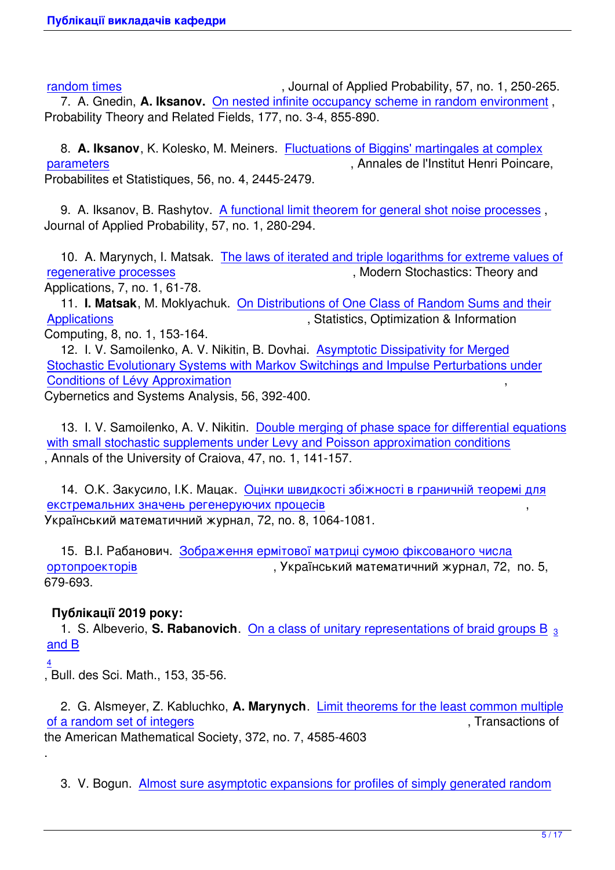random times and the state of Applied Probability, 57, no. 1, 250-265.

 7. A. Gnedin, **A. Iksanov.** On nested infinite occupancy scheme in random environment , Probability Theory and Related Fields, 177, no. 3-4, 855-890.

 8. **[A. Iksan](iksan/publications/DongIks270619.pdf)ov**, K. Kolesko, [M. Meiners. Fluctuations of Biggins](iksan/publications/GneIks290120_2ndrevision.pdf)' [martingales at complex](iksan/publications/GneIks290120_2ndrevision.pdf) parameters , Annales de l'Institut Henri Poincare, Probabilites et Statistiques, 56, no. 4, 2445-2479.

 [9. A. Iksa](iksan/publications/IksKolMei011019_revised.pdf)nov, B. Rashytov. A functional [limit theorem for general shot noise processes](iksan/publications/IksKolMei011019_revised.pdf) , Journal of Applied Probability, 57, no. 1, 280-294.

 10. A. Marynych, I. Matsak. [The laws of iterated and triple logarithms for extreme value](iksan/publications/Iksanov_Rashytov_subm020619.pdf)s of regenerative processes and the matter of the Modern Stochastics: Theory and Applications, 7, no. 1, 61-78.

 11. **I. Matsak**, M. Moklyachu[k. On Distributions of One Class of Random Sums and their](marynych/wp-content/uploads/2020/02/MarMat2019.pdf) [Applications](marynych/wp-content/uploads/2020/02/MarMat2019.pdf) **Applications** , Statistics, Optimization & Information

Computing, 8, no. 1, 153-164.

 12. I. V. Samoilenko, A. V. Nikit[in, B. Dovhai. Asymptotic Dissipativity for Merged](http://www.iapress.org/index.php/soic/article/view/698) [Stochastic E](http://www.iapress.org/index.php/soic/article/view/698)volutionary Systems with Markov Switchings and Impulse Perturbations under Conditions of Lévy Approximation ,

Cybernetics and Systems Analysis, 56, 392-400.

 [13. I. V. Samoilenko, A. V. Nikitin. Double merging of phase space for differential equat](images/publications/niksamdov2020.pdf)ions with small stochastic supplements under Levy and Poisson approximation conditions , Annals of the University of Craiova, 47, no. 1, 141-157.

 [14. О.К. Закусило, І.К. Мацак. Оцінки швидкості збіжності в граничній теоремі для](http://inf.ucv.ro/~ami/index.php/ami/article/view/1087) екстремальних значень регенеруючих процесів Український математичний журнал, 72, no. 8, 1064-1081.

 [15. В.І. Рабанович. Зображення ермітової матриці сумою фіксованого числа](images/publications/zakusylo_matsak_umg_20.pdf) ортопроекторів , Український математичний журнал, 72, no. 5, 679-693.

# **[Публікації 201](images/publications/rabanovich2020.pdf)9 року[:](images/publications/rabanovich2020.pdf)**

 1. S. Albeverio, **S. Rabanovich**. On a class of unitary representations of braid groups B <sup>3</sup> and B

4

, Bull. des Sci. Math., 153, 35-56.

 [2. G](images/publications/bsm2019.pdf). Alsmeyer, Z. Kabluchko, **A. Marynych**. Limit theorems for the least common multiple of a random set of integers of  $\overline{a}$  ransactions of  $\overline{a}$ , Transactions of the American Mathematical Society, 372, no. 7, 4585-4603

.

 [3. V. Bogun.](marynych/wp-content/uploads/2018/01/AlsKabMar2018.pdf)  Almost sure asymptotic expansions for profiles of simply generated random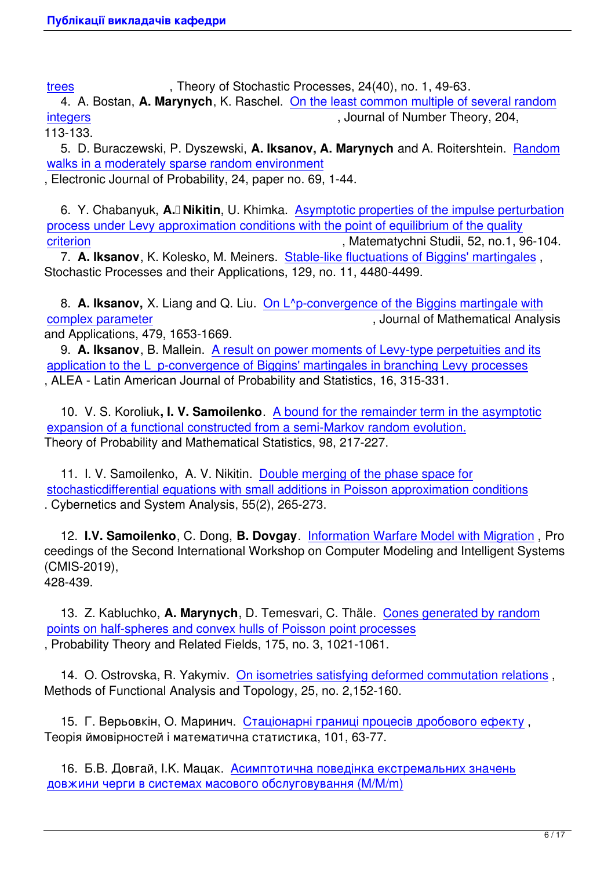trees , Theory of Stochastic Processes, 24(40), no. 1, 49-63.

 4. A. Bostan, **A. Marynych**, K. Raschel. On the least common multiple of several random integers , Journal of Number Theory, 204,

[113-1](http://tsp.imath.kiev.ua/files/2410/art2410_04.pdf)33.

 5. D. Buraczewski, P. Dyszewski, **A. Iksanov, A. Marynych** [and A. Roitershtein.](marynych/wp-content/uploads/2019/01/BosMarRas2019.pdf)  Random [walks in](marynych/wp-content/uploads/2019/01/BosMarRas2019.pdf) a moderately sparse random environment

, Electronic Journal of Probability, 24, paper no. 69, 1-44.

6. Y. Chabanyuk, **A.** Nikitin, U. Khimka. Asymptotic properties of the impulse pe[rturbation](https://projecteuclid.org/download/pdfview_1/euclid.ejp/1561687602) process under Levy approximation conditions with the point of equilibrium of the quality criterion , Matematychni Studii, 52, no.1, 96-104.

 7. **A. Iksanov**, K. Kolesko, M. Meiners. S[table-like fluctuations of Biggins](http://matstud.org.ua/texts/2019/52_1/96-104.html)' [martingales](http://matstud.org.ua/texts/2019/52_1/96-104.html) , [Stochastic Processes and their Applications, 129, no. 11, 4480-4499.](http://matstud.org.ua/texts/2019/52_1/96-104.html)

 [8.](http://matstud.org.ua/texts/2019/52_1/96-104.html) **A. Iksanov,** X. Liang and Q. Liu. On [L^p-convergence of the Biggins martingale wit](iksan/publications/IksKolMei150518_revision.pdf)h complex parameter  $\blacksquare$  , Journal of Mathematical Analysis and Applications, 479, 1653-1669.

 9. **A. Iksanov**, B. Mallein. A result [on power moments of Levy-type perpetuities and its](iksan/publications/IksLiaLiu_190619_rev.pdf) [application to the L\\_](iksan/publications/IksLiaLiu_190619_rev.pdf)p-convergence of Biggins' martingales in branching Levy processes , ALEA - Latin American Journal of Probability and Statistics, 16, 315-331.

 10. V. S. Koroliuk**, I. V. Samoilenko**[. A bound for the remainder term in the asymptotic](http://alea.impa.br/articles/v16/16-11.pdf) expansion of a functional constructed from a semi-Markov random evolution. Theory of Probability and Mathematical Statistics, 98, 217-227.

11. I. V. Samoilenko, A. V. Nikitin. D[ouble merging of the phase space for](https://www.ams.org/journal-getitem?pii=S0094-9000-2019-01072-5) stochasticdifferential equations with small additions in Poisson approximation conditions . Cybernetics and System Analysis, 55(2), 265-273.

 12. **I.V. Samoilenko**, C. Dong, **B. Dovgay**. [Information Warfare Model with Migration](https://link.springer.com/epdf/10.1007/s10559-019-00131-w?author_access_token=yQTtw2gNLNrfAlx_QNijyve4RwlQNchNByi7wbcMAY5EkUxDOOsqPBr7fIflx6stX9IgiIjlWcjMxcx4P8-yHTEZm8DR336ILgJPyipu7eprLGkK49ogQjoUqbPVS5RFVbHs20IAoBlFFvWlQZ8VkA%3D%3D) , Pro ceedings of the Second International Workshop on Computer Modeling and Intelligent Systems (CMIS-2019),

428-439.

 13. Z. Kabluchko, **A. Marynych**, D. Temesvari, C. Thäle. Cones generated by random points on half-spheres and convex hulls of Poisson point processes , Probability Theory and Related Fields, 175, no. 3, 1021-1061.

 [14. O. Ostrovska, R. Yakymiv. On isometries satisfying deformed commutation relation](marynych/wp-content/uploads/2019/03/convex_hull_PPP-14.pdf)s , Methods of Functional Analysis and Topology, 25, no. 2,152-160.

 15. Г. Верьовкін, О. Маринич. [Стаціонарні границі процесів дробового ефекту](http://mfat.imath.kiev.ua/article/?id=1170) , Теорія ймовірностей і математична статистика, 101, 63-77.

 16. Б.В. Довгай, I.K. Mацак. А[симптотична поведінка екстремальних значень](http://probability.univ.kiev.ua/tims/issues-new/101/PDF/7.pdf) довжини черги в системах масового обслуговування (M/M/m)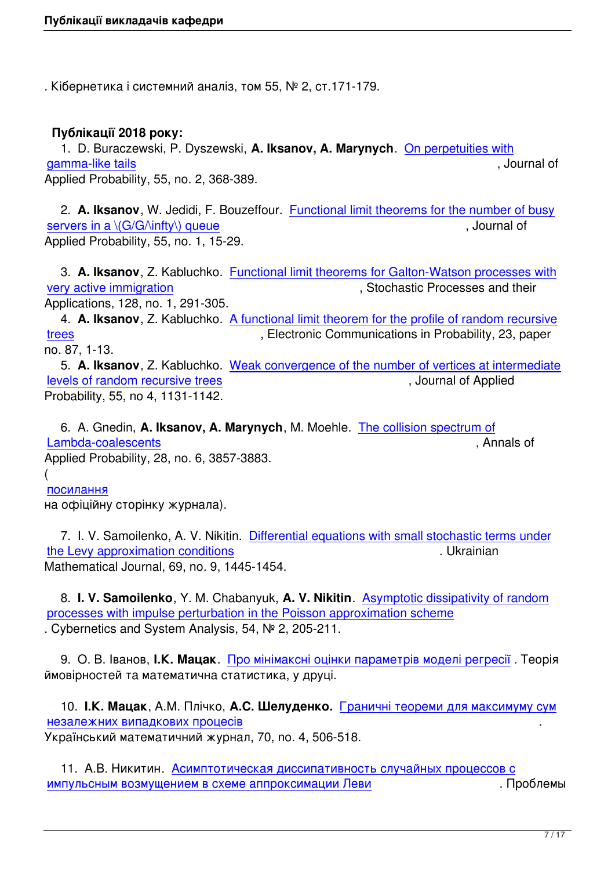. Кібернетика і системний аналіз, том 55, № 2, ст.171-179.

# **Публікації 2018 року:**

 1. D. Buraczewski, P. Dyszewski, **A. Iksanov, A. Marynych**. On perpetuities with gamma-like tails , Journal of Applied Probability, 55, no. 2, 368-389.

 2. **[A. Iksanov](https://arxiv.org/pdf/1703.02330.pdf)**, W. Jedidi, F. Bouzeffour. Functional limit theor[ems for the number](https://arxiv.org/pdf/1703.02330.pdf) of busy servers in a  $\langle G/G/\langle \text{inftv} \rangle$  queue  $\langle G/G/G \rangle$ Applied Probability, 55, no. 1, 15-29.

 3. **A. Iksanov**[, Z. Kabluchko.](iksan/publications/IksJedBou2017.pdf) Functional [limit theorems for Galton-Watson processes with](iksan/publications/IksJedBou2017.pdf) very active immigration  $\blacksquare$  , Stochastic Processes and their Applications, 128, no. 1, 291-305.

 4. **A. Iksanov**, Z. Kabluchko. [A functional limit theorem for the profile of random recursive](https://www.sciencedirect.com/science/article/pii/S0304414917301278) [trees](https://www.sciencedirect.com/science/article/pii/S0304414917301278) **trees** , Electronic Communications in Probability, 23, paper no. 87, 1-13.

 5. **A. Iksanov**, Z. Kabluchko. [Weak convergence of the number of vertices at intermediate](https://doi.org/10.1214/18-ECP188) [levels](https://doi.org/10.1214/18-ECP188) of random recursive trees , Journal of Applied Probability, 55, no 4, 1131-1142.

 [6. A. Gnedin,](iksan/publications/Iksanov_Kabluchko2018JAP.pdf) **A. Iksanov, A. Marynych**, M. Moehle. [The collision spectrum of](iksan/publications/Iksanov_Kabluchko2018JAP.pdf) Lambda-coalescents , Annals of Applied Probability, 28, no. 6, 3857-3883. (

[посилання](marynych/wp-content/uploads/2018/10/AAP1409.pdf)

на офіційну сторінку журнала).

 [7. I. V. S](https://projecteuclid.org/euclid.aoap/1538985637)amoilenko, A. V. Nikitin. Differential equations with small stochastic terms under the Levy approximation conditions . Ukrainian Mathematical Journal, 69, no. 9, 1445-1454.

 8. **[I. V. Samoilenko](https://link.springer.com/article/10.1007/s11253-018-1443-x)**, Y. M. Chabanyuk, **A. V. Nikitin**[. Asymptotic dissipativity of random](https://link.springer.com/article/10.1007/s11253-018-1443-x) processes with impulse perturbation in the Poisson approximation scheme . Cybernetics and System Analysis, 54, № 2, 205-211.

 9. О. В. Іванов, **І.К. Мацак**. [Про мінімаксні оцінки параметрів моделі регресії](https://link.springer.com/article/10.1007/s10559-018-0021-4) . Теорія ймовірностей та математична статистика, у друці.

 10. **І.К. Мацак**, А.М. Плічко, **А.С. Шелуденко.** [Граничні теореми для максим](images/publications/matsak/ivanov_matsak_18.pdf)уму сум незалежних випадкових процесів . Український математичний журнал, 70, no. 4, 506-518.

 [11. А.В. Никитин.](images/publications/matsak/m_p_sh_16a.pdf) Асимптотическая диссипати[вность случайных процессов с](images/publications/matsak/m_p_sh_16a.pdf) импульсным возмущением в схеме аппроксимации Леви . Проблемы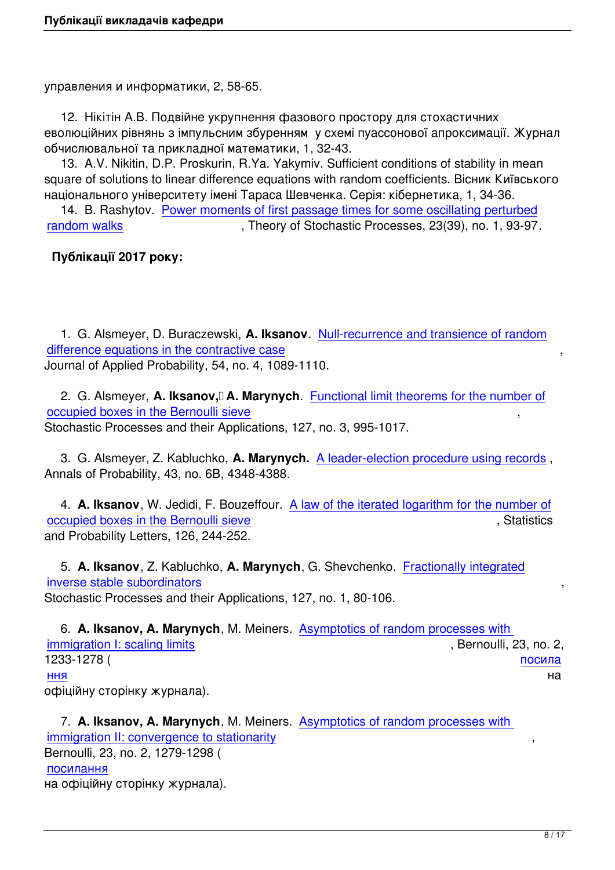управления и информатики, 2, 58-65.

 12. Нікітін А.В. Подвійне укрупнення фазового простору для стохастичних еволюційних рівнянь з імпульсним збуренням у схемі пуассонової апроксимації. Журнал обчислювальної та прикладної математики, 1, 32-43.

 13. А.V. Nikitin, D.P. Proskurin, R.Ya. Yakymiv. Sufficient conditions of stability in mean square of solutions to linear difference equations with random coefficients. Вісник Київського національного університету імені Тараса Шевченка. Серія: кібернетика, 1, 34-36.

 14. B. Rashytov. Power moments of first passage times for some oscillating perturbed random walks **Figure 1.1 Theory of Stochastic Processes**, 23(39), no. 1, 93-97.

# **Публікації 2017 р[оку:](http://tsp.imath.kiev.ua/files/2310/art2310_08.pdf)**

 1. G. Alsmeyer, D. Buraczewski, **A. Iksanov**. Null-recurrence and transience of random difference equations in the contractive case Journal of Applied Probability, 54, no. 4, 1089-1110.

2. G. Alsmeyer, **[A. Iksanov, A. Maryny](iksan/publications/AP16497_final.pdf)ch**. F[unctional limit theorems for the number of](iksan/publications/AP16497_final.pdf) occupied boxes in the Bernoulli sieve Stochastic Processes and their Applications, 127, no. 3, 995-1017.

 [3. G. Alsmeyer, Z. Kabluchko,](marynych/wp-content/uploads/2016/07/FLT_Bernoulli_Sieve.pdf) **A. Marynych.** [A leader-election procedure using records](marynych/wp-content/uploads/2016/07/FLT_Bernoulli_Sieve.pdf) , Annals of Probability, 43, no. 6B, 4348-4388.

 4. **A. Iksanov**, W. Jedidi, F. Bouzeffour. A la[w of the iterated logarithm for the number o](https://arxiv.org/abs/1512.04750)f occupied boxes in the Bernoulli sieve and the statistics occupied boxes in the Bernoulli sieve and Probability Letters, 126, 244-252.

 5. **A. Iksanov**[, Z. Kabluchko,](iksan/publications/LIL_for_BS_rev.pdf) **A. Marynych**, G. Shevchenko. [Fractionally integrated](iksan/publications/LIL_for_BS_rev.pdf) inverse stable subordinators , Stochastic Processes and their Applications, 127, no. 1, 80-106.

 6. **[A. Iksanov, A. Maryny](marynych/wp-content/uploads/2016/06/iks_kab_mar_shev290516.pdf)ch**, M. Meiners. Asymptotics of ran[dom processes with](marynych/wp-content/uploads/2016/06/iks_kab_mar_shev290516.pdf)  immigration I: scaling limits (i.e., i.e., i.e., i.e., i.e., i.e., i.e., i.e., i.e., i.e., i.e., i.e., i.e., i.e., i.e., i.e., i.e., i.e., i.e., i.e., i.e., i.e., i.e., i.e., i.e., i.e., i.e., i.e., i.e., i.e., i.e., i.e., 1233-1278 ( посила ння процессов по продуктивно производит в собственность и производит в собственность и на начале на наименност<br>На начале производительность по производительность и на начале производительность и на наименность и на наимен [офіційну сторінку журнала](marynych/wp-content/uploads/2017/02/BEJ776.pdf)).

 [7](http://projecteuclid.org/euclid.bj/1486177398). **A. Iksanov, A. Marynych**, M. Meiners. Asymptotics of random processes with immigration II: convergence to stationarity Bernoulli, 23, no. 2, 1279-1298 ( посилання [на офіційну сторінку журнала\).](marynych/wp-content/uploads/2017/02/BEJ777.pdf)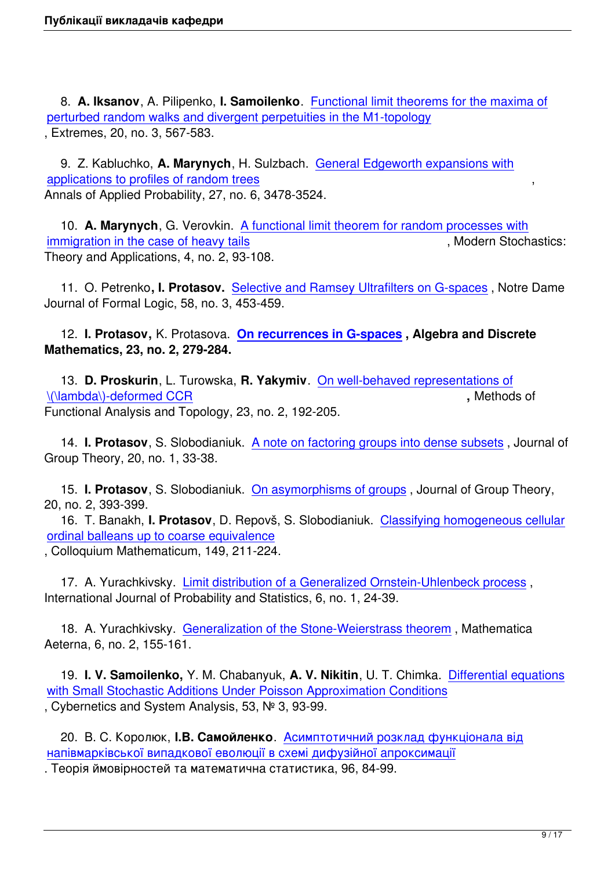8. **A. Iksanov**, A. Pilipenko, **I. Samoilenko**. Functional limit theorems for the maxima of perturbed random walks and divergent perpetuities in the M1-topology , Extremes, 20, no. 3, 567-583.

 9. Z. Kabluchko, **A. Marynych**, H. Sulzbach. [General Edgeworth expansions with](iksan/publications/ikspilipsam_rev220117.pdf) applications to profiles of random trees Annals of Applied Probability, 27, no. 6, 3478-3524.

 10. **A. Marynych**[, G. Verovkin. A fu](http://arxiv.org/pdf/1606.03920v2.pdf)nctional li[mit theorem for random processes w](http://arxiv.org/pdf/1606.03920v2.pdf)ith immigration in the case of heavy tails and the state of the state of heavy tails and the state of the state of heavy tails and the state of heavy tails and the state of the state of the state of the state of the state of t Theory and Applications, 4, no. 2, 93-108.

 [11. O. Petrenko](https://www.i-journals.org/vtxpp/VMSTA/article/view/VMSTA76)**, I. Protasov.** S[elective and Ramsey Ultrafilters on G-spaces](https://www.i-journals.org/vtxpp/VMSTA/article/view/VMSTA76) , Notre Dame Journal of Formal Logic, 58, no. 3, 453-459.

 12. **I. Protasov,** K. Protasova. **[On recurrences in G-spaces](http://projecteuclid.org/euclid.ndjfl/1492567511) , Algebra and Discrete Mathematics, 23, no. 2, 279-284.**

 13. **D. Proskurin**, L. Turowska, **R. Yakymiv**. [On well-behave](http://admjournal.luguniv.edu.ua/index.php/adm/article/view/402/pdf)d representations of \(\lambda\)-deformed CCR **,** Methods of Functional Analysis and Topology, 23, no. 2, 192-205.

 14. **[I. Protasov](http://mfat.imath.kiev.ua/article/?id=972)**, S. Slobodianiuk. A note on f[actoring groups into dense subsets](http://mfat.imath.kiev.ua/article/?id=972) , Journal of Group Theory, 20, no. 1, 33-38.

 15. **I. Protasov**, S. Slobodianiuk. [On asymorphisms of groups](https://www.degruyter.com/downloadpdf/j/jgth.2017.20.issue-1/jgth-2016-0021/jgth-2016-0021.xml) , Journal of Group Theory, 20, no. 2, 393-399.

 16. T. Banakh, **I. Protasov**, D. Repovš, S. Slobodianiuk. Classifying homogeneous cellular ordinal balleans up to coarse equival[ence](https://www.degruyter.com/view/j/jgth.2017.20.issue-2/jgth-2016-0038/jgth-2016-0038.xml?format=INT)

, Colloquium Mathematicum, 149, 211-224.

 [17. A. Yurachkivsky.](https://www.impan.pl/en/publishing-house/journals-and-series/colloquium-mathematicum/online/92204/classifying-homogeneous-cellular-ordinal-balleans-up-to-coarse-equivalence)  Limit distribution of a Generalized O[rnstein-Uhlenbeck process](https://www.impan.pl/en/publishing-house/journals-and-series/colloquium-mathematicum/online/92204/classifying-homogeneous-cellular-ordinal-balleans-up-to-coarse-equivalence) , International Journal of Probability and Statistics, 6, no. 1, 24-39.

 18. A. Yurachkivsky. [Generalization of the Stone-Weierstrass theorem](http://www.ccsenet.org/journal/index.php/ijsp/article/view/65098/35138) , Mathematica Aeterna, 6, no. 2, 155-161.

 19. **I. V. Samoilenko,** [Y. M. Chabanyuk,](http://e-hilaris.com/MA/2017/MA7_2_7.pdf) **A. V. Nikitin**, U. T. Chimka. Differential equations with Small Stochastic Additions Under Poisson Approximation Conditions , Cybernetics and System Analysis, 53, № 3, 93-99.

 20. В. С. Королюк, **І.В. Самойленко**[. Асимптотичний розклад функціонала від](https://link.springer.com/article/10.1007/s10559-017-9941-7) напівмарківської випадкової еволюції в схемі дифузійної апроксимації

. Теорія ймовірностей та математична статистика, 96, 84-99.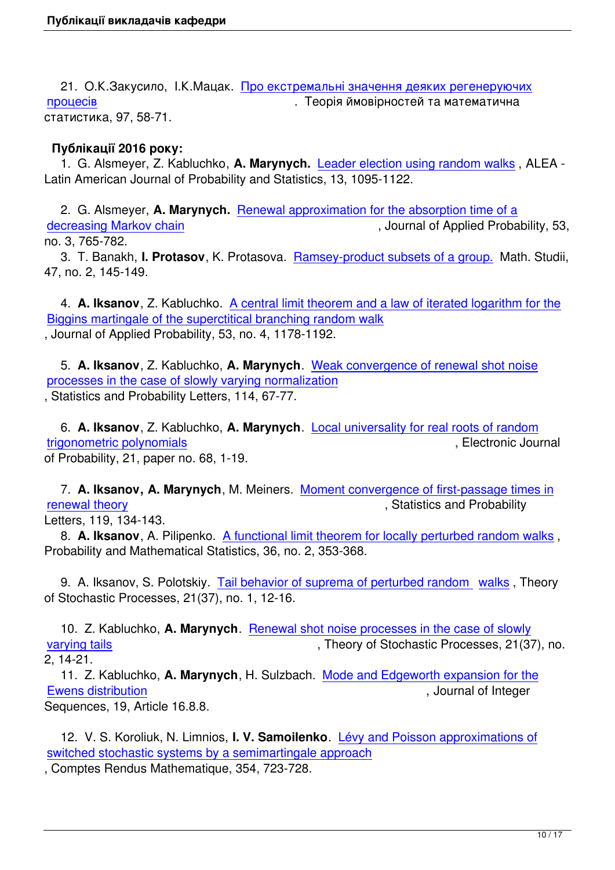21. О.К.Закусило, І.К.Мацак. Про екстремальні значення деяких регенеруючих процесів . Пеорія ймовірностей та математична статистика, 97, 58-71.

#### **[Публіка](images/publications/matsak/zakusylo_matsak-97.pdf)ції 2016 року:**

 1. G. Alsmeyer, Z. Kabluchko, **A. Marynych.** Leader election using random walks , ALEA - Latin American Journal of Probability and Statistics, 13, 1095-1122.

 2. G. Alsmeyer, **A. Marynych.** Renewal appr[oximation for the absorption time of a](marynych/wp-content/uploads/2016/07/AlsKabMar2016.pdf) decreasing Markov chain  $\blacksquare$  , Journal of Applied Probability, 53,

no. 3, 765-782.

 3. T. Banakh, **I. Protasov**, K. P[rotasova. Ramsey-product subsets of a group. Mat](~marynych/wp-content/uploads/2015/11/AlsMar2015_final.pdf)h. Studii, [47, no. 2, 145-149.](~marynych/wp-content/uploads/2015/11/AlsMar2015_final.pdf)

 4. **A. Iksanov**, Z. Kabluchko. A central li[mit theorem and a law of iterated loga](http://matstud.org.ua/texts/2017/47_2/145-149.pdf)rithm for the Biggins martingale of the superctitical branching random walk , Journal of Applied Probability, 53, no. 4, 1178-1192.

 5. **A. Iksanov**[, Z. Kabluchko,](http://arxiv.org/pdf/1507.08458v2.pdf) **A. Marynych**[. Weak convergence of renewal shot noise](http://arxiv.org/pdf/1507.08458v2.pdf) processes in the case of slowly varying normalization , Statistics and Probability Letters, 114, 67-77.

 6. **A. Iksanov**[, Z. Kabluchko,](http://arxiv.org/pdf/1507.02526v2) **A. Marynych**. [Local universality for real roots of random](http://arxiv.org/pdf/1507.02526v2) trigonometric polynomials , Electronic Journal of Probability, 21, paper no. 68, 1-19.

 7. **[A. Iksanov, A. Mary](http://projecteuclid.org/download/pdfview_1/euclid.ejp/1476706888)nych**, M. Meiners. M[oment convergence of first-passage times](http://projecteuclid.org/download/pdfview_1/euclid.ejp/1476706888) in renewal theory **Exercise 20** Theory *CON* in the statistics and Probability

Letters, 119, 134-143.

 8. **A. Iksanov**, A. Pilipenko. A functional li[mit theorem for locally perturbed random walks](marynych/wp-content/uploads/2016/07/16-07-Moment-convergence-of-first-passage-times-in-renewa-theory-Revision.pdf) , [Probability and](marynych/wp-content/uploads/2016/07/16-07-Moment-convergence-of-first-passage-times-in-renewa-theory-Revision.pdf) Mathematical Statistics, 36, no. 2, 353-368.

 9. A. Iksanov, S. Polotskiy. [Tail behavior of suprema of perturbed random walks](http://www.math.uni.wroc.pl/~pms/files/36.2/Article/36.2.10.pdf) , Theory of Stochastic Processes, 21(37), no. 1, 12-16.

 10. Z. Kabluchko, **A. Marynych**[. Renewal shot noise processes in the case of slo](http://tsp.imath.kiev.ua/files/2110/art2110_02.pdf)wly varying tails varying tails and the state of Stochastic Processes, 21(37), no. 2, 14-21.

 11. Z. Kabluchko, **A. Marynych**, H. Sulzbach. [Mode and Edgeworth expansion for th](http://tsp.imath.kiev.ua/files/2120/art2120_03.pdf)e [Ewens distri](http://tsp.imath.kiev.ua/files/2120/art2120_03.pdf)bution **Exercise Exercise Contract Contract Contract Contract Contract Contract Contract Contract Contract Contract Contract Contract Contract Contract Contract Contract Contract Contract Contract Contract Cont** 

Sequences, 19, Article 16.8.8.

 [12. V. S. Koroliu](https://cs.uwaterloo.ca/journals/JIS/VOL19/Kabluchko/kabl2.pdf)k, N. Limnios, **I. V. Samoilenko**. [Lévy and Poisson approximations of](https://cs.uwaterloo.ca/journals/JIS/VOL19/Kabluchko/kabl2.pdf) switched stochastic systems by a semimartingale approach

, Comptes Rendus Mathematique, 354, 723-728.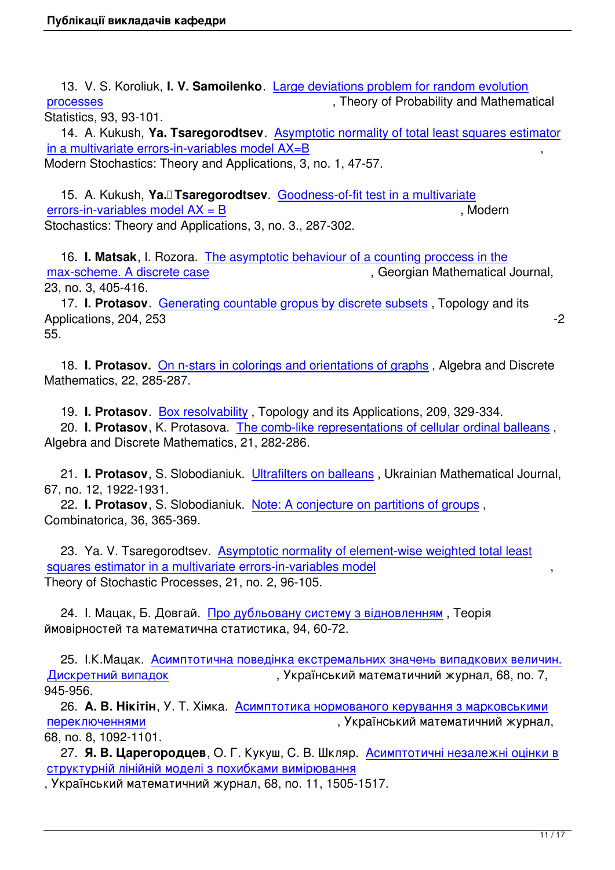13. V. S. Koroliuk, **I. V. Samoilenko**. Large deviations problem for random evolution processes **processes** , Theory of Probability and Mathematical Statistics, 93, 93-101.

 14. A. Kukush, **Ya. Tsaregorodtsev**. [Asymptotic normality of total least squares esti](images/publications/samoylenko/koroluk2eng.pdf)mator [in a multiva](images/publications/samoylenko/koroluk2eng.pdf)riate errors-in-variables model AX=B Modern Stochastics: Theory and Applications, 3, no. 1, 47-57.

 15. A. Kukush, **[Ya. Tsaregorodtsev](images/publications/tsaregorodtsev/tsaregorodsev03.pdf)**. [Goodness-of-fit test in a multivariate](images/publications/tsaregorodtsev/tsaregorodsev03.pdf) errors-in-variables model  $AX = B$  , Modern Stochastics: Theory and Applications, 3, no. 3., 287-302.

 16. **I. Matsak**[, I. Rozora.](images/publications/tsaregorodtsev/tsaregorodsev04.pdf)  The asympto[tic behaviour of a counting proccess](images/publications/tsaregorodtsev/tsaregorodsev04.pdf) in the max-scheme. A discrete case and the state of the second second and service of the mathematical Journal, 23, no. 3, 405-416.

 17. **I. Protasov**. Generat[ing countable gropus by discrete subsets](images/publications/matsak/matsak_rozora-gmj.pdf) , Topology and its [Applications, 204, 253](images/publications/matsak/matsak_rozora-gmj.pdf) -2

55.

 18. **I. Protasov.** [On n-stars in colorings and orientations of graphs](http://www.sciencedirect.com/science/article/pii/S0166864116001449?np=y&npKey=bfb8cfc68411e861e175b65059c9d51861e7dbcdc5e9ff06d1e310679b9f7804) , Algebra and Discrete Mathematics, 22, 285-287.

19. **I. Protasov**. Box resolvability [, Topology and its Applications, 2](http://admjournal.luguniv.edu.ua/index.php/adm/article/view/308/pdf)09, 329-334.

 20. **I. Protasov**, K. Protasova. The comb-like representations of cellular ordinal balleans , Algebra and Discrete Mathematics, 21, 282-286.

 21. **I. Protasov**, [S. Slobodianiuk.](http://www.sciencedirect.com/science/article/pii/S0166864116301341?np=y&npKey=bfb8cfc68411e86190474793fc060aed7d16b2f74471229dfca86253b7ba7507) Ultrafilters on balleans [, Ukrainian Mathematical Journa](http://admjournal.luguniv.edu.ua/index.php/adm/article/view/200/pdf)l, 67, no. 12, 1922-1931.

 22. **I. Protasov**, S. Slobodianiuk. Note: A conjecture on partitions of groups , Combinatorica, 36, 365-369.

 23. Ya. V. Tsaregorodtsev. Asym[ptotic normality of element-wise weighted t](http://link.springer.com/article/10.1007/s00493-014-3208-y)otal least squares estimator in a multivariate errors-in-variables model Theory of Stochastic Processes, 21, no. 2, 96-105.

 [24. I. Мацак, Б. Довгай. Про дубльовану систему з відновленням](images/publications/tsaregorodtsev/tsaregorodsev05.pdf) , Теорія ймовірностей та математична статистика, 94, 60-72.

 25. І.К.Мацак. Асимптот[ична поведінка екстремальних значень в](images/publications/matsak/do_ma_16b.pdf)ипадкових величин. Дискретний випадок и так в сукраїнський математичний журнал, 68, no. 7, 945-956.

 26. **А. В. Нікітін**[, У. Т. Хімка. Асимптотика нормованого керування з марковськими](images/publications/matsak/matsak_15a.pdf) [переключеннями](images/publications/matsak/matsak_15a.pdf) , Український математичний журнал, 68, no. 8, 1092-1101.

 27. **Я. В. Царегородцев**, О. [Г. Кукуш, С. В. Шкляр. Асимптотичні незалежні оцінки](images/publications/nikitin/st-n2-umg.pdf) в [структурній лінійн](images/publications/nikitin/st-n2-umg.pdf)ій моделі з похибками вимірювання

, Український математичний журнал, 68, no. 11, 1505-1517.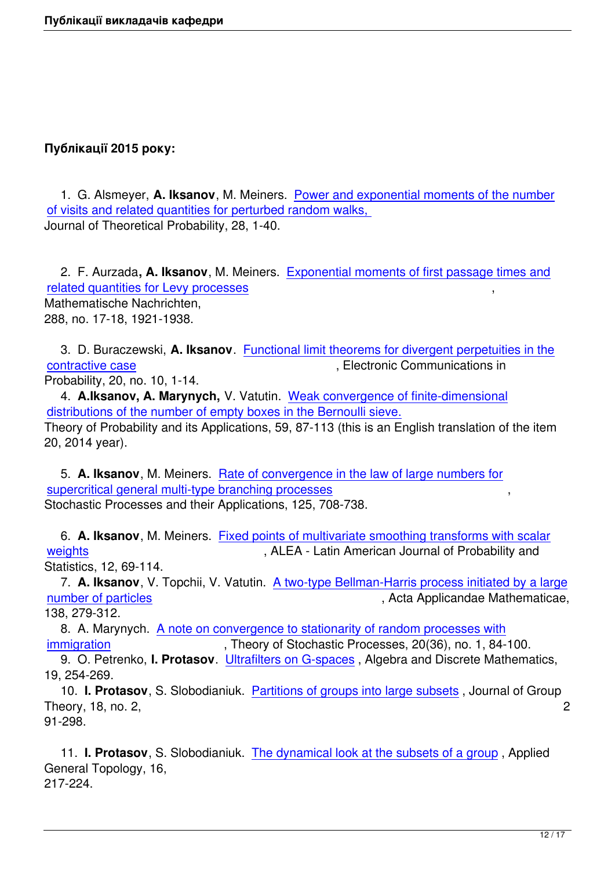# **Публікації 2015 року:**

 1. G. Alsmeyer, **A. Iksanov**, M. Meiners. Power and exponential moments of the number of visits and related quantities for perturbed random walks, Journal of Theoretical Probability, 28, 1-40.

 2. F. Aurzada**, A. Iksanov**[, M. Meiners. Exponential mo](images/publications/alsiksmei.pdf)ments of first passage times and related quantities for Levy processes Mathematische Nachrichten, 288, no. 17-18, 1921-1938.

 [3. D. Buraczewski,](~iksan/publications/aim2.pdf) **A. Iksanov**. Functional limit theorems for divergent perpetuities in the contractive case  $\overline{\phantom{a}}$ , Electronic Communications in Probability, 20, no. 10, 1-14.

 4. **A.Iksanov, A. Marynych,** V. Vatutin. [Weak convergence of finite-dimensional](http://ecp.ejpecp.org/article/download/3915/2618) [distributions of th](http://ecp.ejpecp.org/article/download/3915/2618)e number of empty boxes in the Bernoulli sieve. Theory of Probability and its Applications, 59, 87-113 (this is an English translation of the item 20, 2014 year).

 5. **A. Iksanov**, M. Meiners. [Rate of convergence in the law of](~iksan/publications/pr591-05_english_new.pdf) large numbers for supercritical general multi-type branching processes Stochastic Processes and their Applications, 125, 708-738.

 6. **A. Iksanov**, M. Meiners. [Fixed points of multivariate smoothing transforms wi](http://arxiv.org/pdf/1401.1368.pdf)th scalar weights **weights** , ALEA - Latin American Journal of Probability and Statistics, 12, 69-114.

 7. **A. Iksanov**, V. Topchii, V. Vatutin. [A two-type Bellman-Harris process initiated by a lar](http://alea.impa.br/articles/v12/12-04.pdf)ge [number](http://alea.impa.br/articles/v12/12-04.pdf) of particles and the contract of particles of particles of particles of particles of particle and the contract of the contract of the contract of the contract of the contract of the contract of the contract of the c

138, 279-312.

 8. A. Marynych. A note on convergen[ce to stationarity of random processes with](~iksan/publications/vatutin_iksanov_topchii_final.pdf) [immigration](~iksan/publications/vatutin_iksanov_topchii_final.pdf) , Theory of Stochastic Processes, 20(36), no. 1, 84-100. 9. O. Petrenko, **I. Protasov**. Ultrafilters on G-spaces , Algebra and Discrete Mathematics,

19, 254-269.  [10.](http://tsp.imath.kiev.ua/files/2010/art2010_06.pdf) **I. Protasov**, S. Slobodianiuk. Partitions of groups into large subsets , Journal of Group Theory, 18, no. 2, 2

91-298.

 11. **I. Protasov**, S. Slobodianiuk. [The dynamical look at the subsets of a](images/publications/protasov/protasov2015_01.pdf) group , Applied General Topology, 16, 217-224.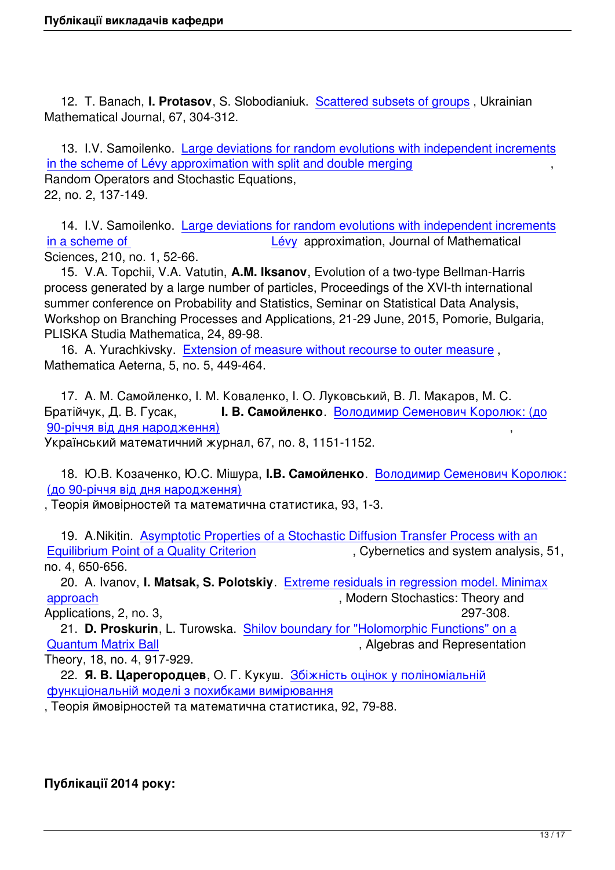12. T. Banach, **I. Protasov**, S. Slobodianiuk. Scattered subsets of groups , Ukrainian Mathematical Journal, 67, 304-312.

 13. I.V. Samoilenko. Large deviations for ran[dom evolutions with independ](images/publications/protasov/protasov2015_03.pdf)ent increments in the scheme of Lévy approximation with split and double merging Random Operators and Stochastic Equations, 22, no. 2, 137-149.

14. I.V. Samoilenko. [Large deviations for random evolutions wit](images/publications/samoylenko/samoilenko2015_1.pdf)h independent increments in a scheme of **Lévy** approximation, Journal of Mathematical Sciences, 210, no. 1, 52-66.

 15. V.A. Topchii, V.A. Vatutin, **A.M. Iksanov**[, Evolution of a two-type Bellman-Harris](images/publications/samoylenko/67-85.pdf) [process generat](images/publications/samoylenko/67-85.pdf)ed by a large number of [partic](images/publications/samoylenko/samoilenko2015_1.pdf)les, Proceedings of the XVI-th international summer conference on Probability and Statistics, Seminar on Statistical Data Analysis, Workshop on Branching Processes and Applications, 21-29 June, 2015, Pomorie, Bulgaria, PLISKA Studia Mathematica, 24, 89-98.

 16. A. Yurachkivsky. Extension of measure without recourse to outer measure , Mathematica Aeterna, 5, no. 5, 449-464.

 17. А. М. Самойленк[о, І. М. Коваленко, І. О. Луковський, В. Л. Макаров, М.](images/publications/yurachkivskiy/ma5_3_7.pdf) С. Братійчук, Д. В. Гусак, **І. В. Самойленко**. Володимир Семенович Королюк: (до 90-річчя від дня народження) ,

Український математичний журнал, 67, no. 8, 1151-1152.

 [18. Ю.В. Козаченко, Ю.С. М](images/publications/samoylenko/umj.pdf)ішура, **І.В. Самойленко**[. Володимир Семенович Королю](images/publications/samoylenko/umj.pdf)к: (до 90-річчя від дня народження)

, Теорія ймовірностей та математична статистика, 93, 1-3.

 [19. A.Nikitin. Asymptotic Propert](images/publications/samoylenko/koroluk.pdf)ies of a Stochastic Diffu[sion Transfer Process with an](images/publications/samoylenko/koroluk.pdf) Equilibrium Point of a Quality Criterion **Figure 1**, Cybernetics and system analysis, 51, no. 4, 650-656.

 20. A. Ivanov, **I. Matsak, S. Polotskiy**[. Extreme residuals in regression model. Minima](http://link.springer.com/article/10.1007/s10559-015-9756-3?no-access=true)x [approach](http://link.springer.com/article/10.1007/s10559-015-9756-3?no-access=true) approach approach  $\blacksquare$  , Modern Stochastics: Theory and

Applications, 2, no. 3, 297-308. 21. **D. Proskurin**, L. Turowska. Shilov [boundary for "Holomorphic Functions" on a](https://www.i-journals.org/vtxpp/VMSTA/article/view/48/106) [Quantum](https://www.i-journals.org/vtxpp/VMSTA/article/view/48/106) Matrix Ball **Contract Contract Contract Contract Contract Contract Contract Contract Contract Contract Contract Contract Contract Contract Contract Contract Contract Contract Contract Contract Contract Contract Con** 

Theory, 18, no. 4, 917-929.

 22. **Я. В. Царегородцев**, О. Г. Кукуш. [Збіжність оцінок у поліноміальній](https://arxiv.org/pdf/1410.2394v1.pdf) [функціональній мод](https://arxiv.org/pdf/1410.2394v1.pdf)елі з похибками вимірювання

, Теорія ймовірностей та математична статистика, 92, 79-88.

# **Публікації 2014 року:**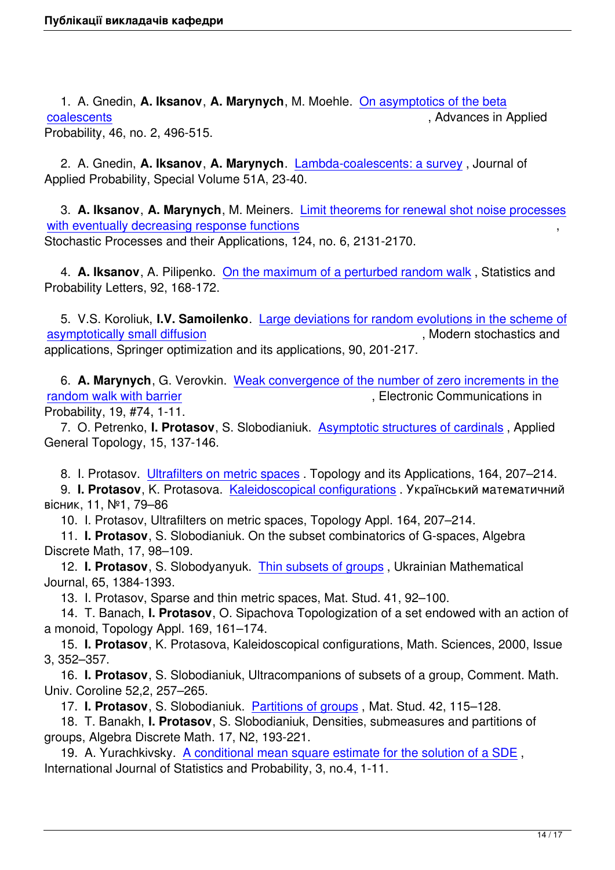1. A. Gnedin, **A. Iksanov**, **A. Marynych**, M. Moehle. On asymptotics of the beta coalescents , and the coalescents of the coalescents of the coalescents of the coalescents of the coalescents of the coalescents of the coalescents of the coalescents of the coalescents of the coalescents of the coalescent Probability, 46, no. 2, 496-515.

 [2. A. Gne](~iksan/publications/beta.pdf)din, **A. Iksanov**, **A. Marynych**. Lambda-co[alescents: a survey](~iksan/publications/beta.pdf) , Journal of Applied Probability, Special Volume 51A, 23-40.

 3. **A. Iksanov**, **A. Marynych**, M. Meiners. [Limit theorems for renewal sh](https://projecteuclid.org/download/pdfview_1/euclid.jap/1417528464)ot noise processes with eventually decreasing response functions  $\,$ ,  $\,$ ,  $\,$ ,  $\,$ ,  $\,$ ,  $\,$ ,  $\,$ ,  $\,$ ,  $\,$ ,  $\,$ ,  $\,$ ,  $\,$ ,  $\,$ ,  $\,$ ,  $\,$ ,  $\,$ ,  $\,$ ,  $\,$ ,  $\,$ ,  $\,$ ,  $\,$ ,  $\,$ ,  $\,$ ,  $\,$ ,  $\,$ ,  $\,$ ,  $\,$ ,  $\,$ ,  $\,$ ,  $\$ Stochastic Processes and their Applications, 124, no. 6, 2131-2170.

 4. **A. Iksanov**[, A. Pilipenko.](http://arxiv.org/abs/1212.1583)  On the maxim[um of a perturbed random walk](http://arxiv.org/abs/1212.1583) , Statistics and Probability Letters, 92, 168-172.

 5. V.S. Koroliuk, **I.V. Samoilenko**. [Large deviations for random evolutions](~iksan/publications/iksanov_pilipenko_2014.pdf) in the scheme of asymptotically small diffusion  $\blacksquare$  , Modern stochastics and  $\blacksquare$ applications, Springer optimization and its applications, 90, 201-217.

 6. **[A. Marynych](images/publications/samoylenko/sborn.pdf)**, G. Verovkin. Wea[k convergence of the number of zero increments in the](images/publications/samoylenko/sborn.pdf) random walk with barrier  $\blacksquare$ , Electronic Communications in Probability, 19, #74, 1-11.

 7. O. Petrenko, **I. Protasov**, S[. Slobodianiuk. Asymptotic structures of cardinals](http://ecp.ejpecp.org/article/view/3641) , Applied [General Topology, 15, 13](http://ecp.ejpecp.org/article/view/3641)7-146.

8. I. Protasov. Ultrafilters on metric spaces . T[opology and its Applications, 164,](http://polipapers.upv.es/index.php/AGT/article/view/3109/3406) 207–214.

 9. **I. Protasov**, K. Protasova. Kaleidoscopical configurations . Український математичний вiсник, 11, №1, 79–86

10. I. Protasov[, Ultrafilters on metric spaces](images/publications/protasov/topol5093.pdf), Topology Appl. 164, 207–214.

 11. **I. Protasov**, S. Slobodiani[uk. On the subset combinatoric](images/publications/protasov/79-86 .pdf)s of G-spaces, Algebra Discrete Math, 17, 98–109.

 12. **I. Protasov**, S. Slobodyanyuk. Thin subsets of groups , Ukrainian Mathematical Journal, 65, 1384-1393.

13. I. Protasov, Sparse and thin metric spaces, Mat. Stud. 41, 92–100.

 14. T. Banach, **I. Protasov**, O. Sip[achova Topologization o](http://link.springer.com/article/10.1007/s11253-014-0866-2)f a set endowed with an action of a monoid, Topology Appl. 169, 161–174.

 15. **I. Protasov**, K. Protasova, Kaleidoscopical configurations, Math. Sciences, 2000, Issue 3, 352–357.

 16. **I. Protasov**, S. Slobodianiuk, Ultracompanions of subsets of a group, Comment. Math. Univ. Coroline 52,2, 257–265.

17. **I. Protasov**, S. Slobodianiuk. Partitions of groups , Mat. Stud. 42, 115–128.

 18. T. Banakh, **I. Protasov**, S. Slobodianiuk, Densities, submeasures and partitions of groups, Algebra Discrete Math. 17, N2, 193-221.

 19. A. Yurachkivsky. A conditiona[l mean square estim](images/publications/protasov/protasov2015_02.pdf)ate for the solution of a SDE , International Journal of Statistics and Probability, 3, no.4, 1-11.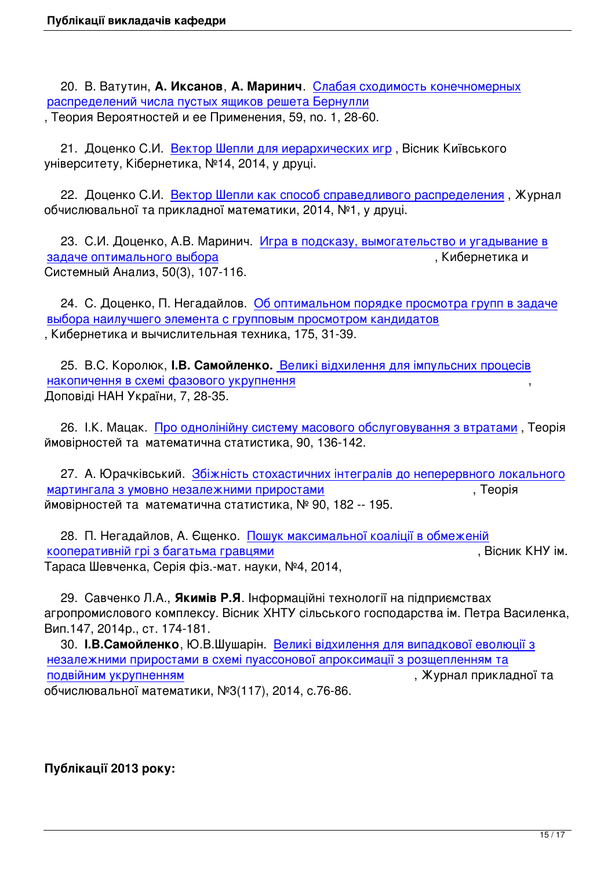20. В. Ватутин, **A. Иксанов**, **А. Маринич**. Слабая сходимость конечномерных распределений числа пустых ящиков решета Бернулли , Теория Вероятностей и ее Применения, 59, no. 1, 28-60.

 21. Доценко С.И. [Вектор Шепли для иерархических](~iksan/publications/IMV1103_2013.pdf) игр [, Вісник Київського](~iksan/publications/IMV1103_2013.pdf) університету, Кібернетика, №14, 2014, у друці.

 22. Доценко С.И. [Вектор Шепли как способ справедливо](images/publications/dotsenko/shepli.doc)го распределения , Журнал обчислювальної та прикладної математики, 2014, №1, у друці.

 23. С.И. Доценко, [А.В. Маринич. Игра в подсказу, вымогательство и угады](images/publications/dotsenko/nobel.doc)вание в задаче оптимального выбора , Кибернетика и Системный Анализ, 50(3), 107-116.

 [24. C. Доценко, П. Негадай](images/publications/docenko_mar_n3-2014.pdf)лов. [Об оптимальном порядке просмотра групп в задач](images/publications/docenko_mar_n3-2014.pdf)е выбора наилучшего элемента с групповым просмотром кандидатов , Кибернетика и вычислительная техника, 175, 31-39.

 25. В.С. Королюк, **І.В. Самойленко.** [Великі відхилення для імпульсних процесів](images/publications/docenko_negadajlov.pdf) накопичення в схемі фазового укрупнення Доповіді НАН України, 7, 28-35.

 [26. І.К. Мацак. Про однолінійну систему масового обслуговування з втратами](images/publications/samoylenko/dokl nanu.pdf) , Теорія ймовірностей та математична статистика, 90, 136-142.

 27. А. Юрачківс[ький. Збіжність стохастичних інтегралів до неперервного лок](images/publications/matsak/matsak_2014.pdf)ального мартингала з умовно незалежними приростами , Теорія ймовірностей та математична статистика, № 90, 182 -- 195.

 [28. П. Негадайлов, А. Єщенко. Пошук максимальної коаліції в обмеженій](images/publications/yurachkivskiy/tvms_2014.pdf) кооперативній грі з багатьма гравцями  $\blacksquare$ Тараса Шевченка, Серія фіз.-мат. науки, №4, 2014,

 [29. Савченко Л.А.,](images/publications/visn_neg_esh.pdf) **Якимів Р.Я**. [Інформаційні технології на підприємствах](images/publications/visn_neg_esh.pdf) агропромислового комплексу. Вісник ХНТУ сільського господарства ім. Петра Василенка, Вип.147, 2014р., ст. 174-181.

 30. **І.В.Самойленко**, Ю.В.Шушарін. Великі відхилення для випадкової еволюції з незалежними приростами в схемі пуассонової апроксимації з розщепленням та подвійним укрупненням , Журнал прикладної та обчислювальної математики, №3(117), [2014, с.76-86.](images/publications/samoylenko/samoilenko2015_2.pdf)

# **Публікації 2013 року:**